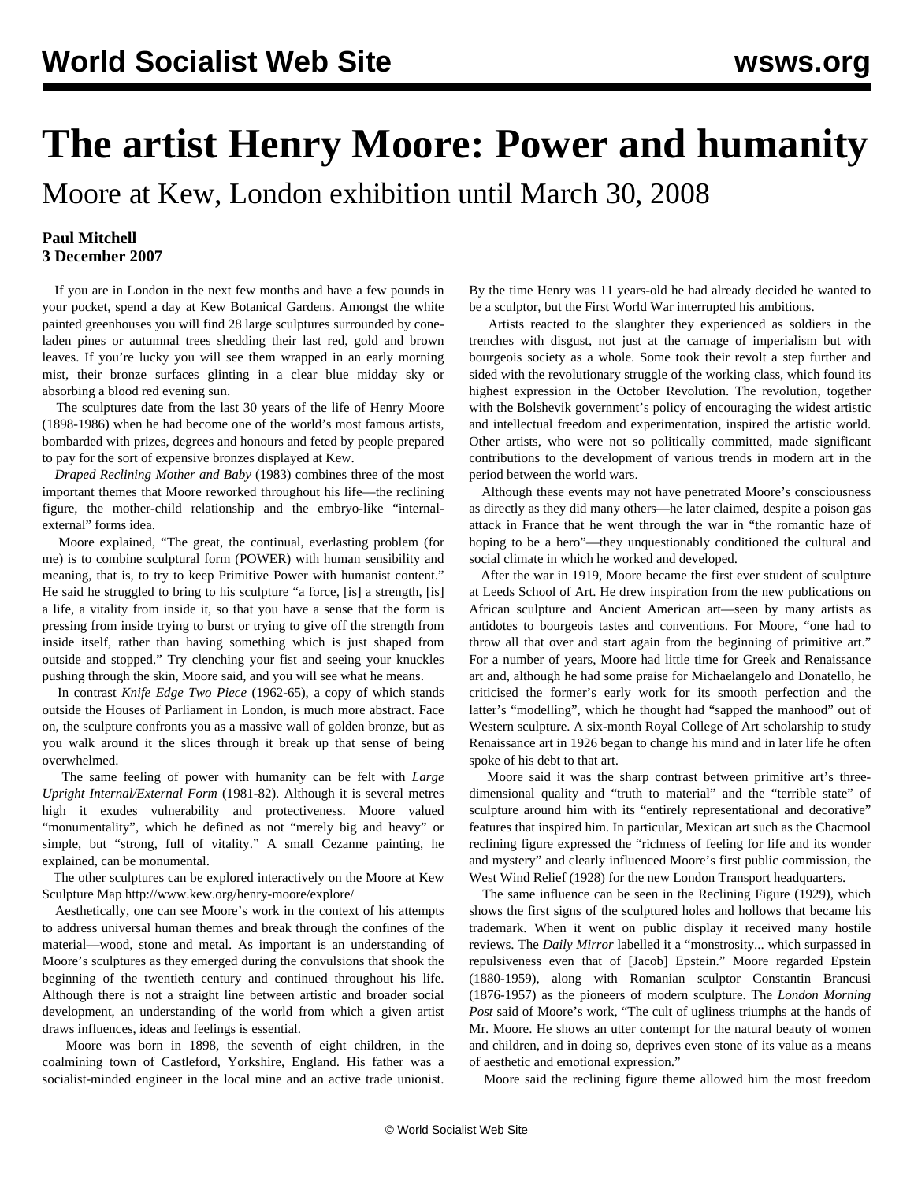## **The artist Henry Moore: Power and humanity**

Moore at Kew, London exhibition until March 30, 2008

## **Paul Mitchell 3 December 2007**

 If you are in London in the next few months and have a few pounds in your pocket, spend a day at Kew Botanical Gardens. Amongst the white painted greenhouses you will find 28 large sculptures surrounded by coneladen pines or autumnal trees shedding their last red, gold and brown leaves. If you're lucky you will see them wrapped in an early morning mist, their bronze surfaces glinting in a clear blue midday sky or absorbing a blood red evening sun.

 The sculptures date from the last 30 years of the life of Henry Moore (1898-1986) when he had become one of the world's most famous artists, bombarded with prizes, degrees and honours and feted by people prepared to pay for the sort of expensive bronzes displayed at Kew.

 *Draped Reclining Mother and Baby* (1983) combines three of the most important themes that Moore reworked throughout his life—the reclining figure, the mother-child relationship and the embryo-like "internalexternal" forms idea.

 Moore explained, "The great, the continual, everlasting problem (for me) is to combine sculptural form (POWER) with human sensibility and meaning, that is, to try to keep Primitive Power with humanist content." He said he struggled to bring to his sculpture "a force, [is] a strength, [is] a life, a vitality from inside it, so that you have a sense that the form is pressing from inside trying to burst or trying to give off the strength from inside itself, rather than having something which is just shaped from outside and stopped." Try clenching your fist and seeing your knuckles pushing through the skin, Moore said, and you will see what he means.

 In contrast *Knife Edge Two Piece* (1962-65), a copy of which stands outside the Houses of Parliament in London, is much more abstract. Face on, the sculpture confronts you as a massive wall of golden bronze, but as you walk around it the slices through it break up that sense of being overwhelmed.

 The same feeling of power with humanity can be felt with *Large Upright Internal/External Form* (1981-82). Although it is several metres high it exudes vulnerability and protectiveness. Moore valued "monumentality", which he defined as not "merely big and heavy" or simple, but "strong, full of vitality." A small Cezanne painting, he explained, can be monumental.

 The other sculptures can be explored interactively on the Moore at Kew Sculpture Map <http://www.kew.org/henry-moore/explore/>

 Aesthetically, one can see Moore's work in the context of his attempts to address universal human themes and break through the confines of the material—wood, stone and metal. As important is an understanding of Moore's sculptures as they emerged during the convulsions that shook the beginning of the twentieth century and continued throughout his life. Although there is not a straight line between artistic and broader social development, an understanding of the world from which a given artist draws influences, ideas and feelings is essential.

 Moore was born in 1898, the seventh of eight children, in the coalmining town of Castleford, Yorkshire, England. His father was a socialist-minded engineer in the local mine and an active trade unionist.

By the time Henry was 11 years-old he had already decided he wanted to be a sculptor, but the First World War interrupted his ambitions.

 Artists reacted to the slaughter they experienced as soldiers in the trenches with disgust, not just at the carnage of imperialism but with bourgeois society as a whole. Some took their revolt a step further and sided with the revolutionary struggle of the working class, which found its highest expression in the October Revolution. The revolution, together with the Bolshevik government's policy of encouraging the widest artistic and intellectual freedom and experimentation, inspired the artistic world. Other artists, who were not so politically committed, made significant contributions to the development of various trends in modern art in the period between the world wars.

 Although these events may not have penetrated Moore's consciousness as directly as they did many others—he later claimed, despite a poison gas attack in France that he went through the war in "the romantic haze of hoping to be a hero"—they unquestionably conditioned the cultural and social climate in which he worked and developed.

 After the war in 1919, Moore became the first ever student of sculpture at Leeds School of Art. He drew inspiration from the new publications on African sculpture and Ancient American art—seen by many artists as antidotes to bourgeois tastes and conventions. For Moore, "one had to throw all that over and start again from the beginning of primitive art." For a number of years, Moore had little time for Greek and Renaissance art and, although he had some praise for Michaelangelo and Donatello, he criticised the former's early work for its smooth perfection and the latter's "modelling", which he thought had "sapped the manhood" out of Western sculpture. A six-month Royal College of Art scholarship to study Renaissance art in 1926 began to change his mind and in later life he often spoke of his debt to that art.

 Moore said it was the sharp contrast between primitive art's threedimensional quality and "truth to material" and the "terrible state" of sculpture around him with its "entirely representational and decorative" features that inspired him. In particular, Mexican art such as the [Chacmool](http://upload.wikimedia.org/wikipedia/commons/4/4a/Chac_Mool1.jpg) [reclining figure](http://upload.wikimedia.org/wikipedia/commons/4/4a/Chac_Mool1.jpg) expressed the "richness of feeling for life and its wonder and mystery" and clearly influenced Moore's first public commission, the [West Wind Relief](http://www.henry-moore-fdn.co.uk/matrix_engine/content.php?page_id=435) (1928) for the new London Transport headquarters.

 The same influence can be seen in the [Reclining Figure](http://www.henry-moore-fdn.co.uk/matrix_engine/content.php?page_id=436&shop=601) (1929), which shows the first signs of the sculptured holes and hollows that became his trademark. When it went on public display it received many hostile reviews. The *Daily Mirror* labelled it a "monstrosity... which surpassed in repulsiveness even that of [Jacob] Epstein." Moore regarded Epstein (1880-1959), along with Romanian sculptor Constantin Brancusi (1876-1957) as the pioneers of modern sculpture. The *London Morning Post* said of Moore's work, "The cult of ugliness triumphs at the hands of Mr. Moore. He shows an utter contempt for the natural beauty of women and children, and in doing so, deprives even stone of its value as a means of aesthetic and emotional expression."

Moore said the reclining figure theme allowed him the most freedom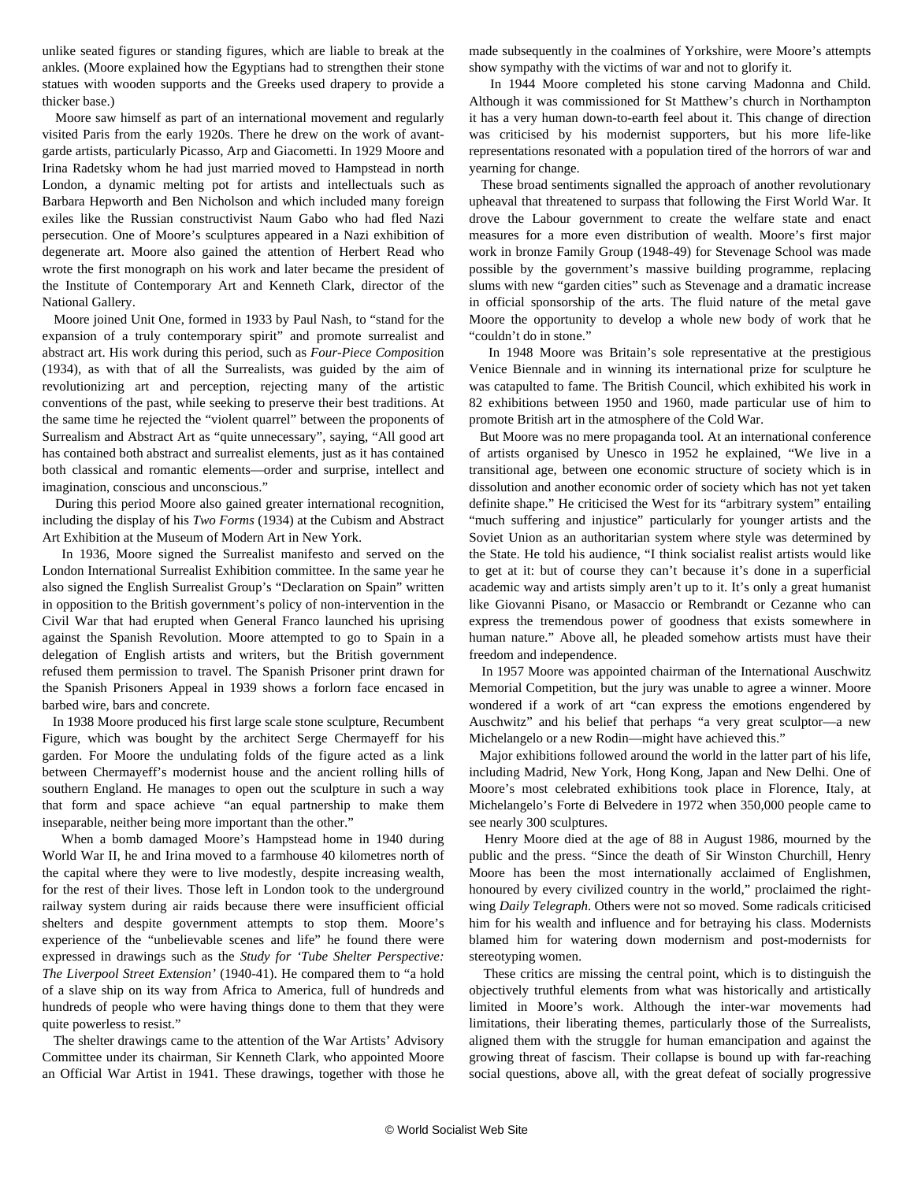unlike seated figures or standing figures, which are liable to break at the ankles. (Moore explained how the Egyptians had to strengthen their stone statues with wooden supports and the Greeks used drapery to provide a thicker base.)

 Moore saw himself as part of an international movement and regularly visited Paris from the early 1920s. There he drew on the work of avantgarde artists, particularly Picasso, Arp and Giacometti. In 1929 Moore and Irina Radetsky whom he had just married moved to Hampstead in north London, a dynamic melting pot for artists and intellectuals such as Barbara Hepworth and Ben Nicholson and which included many foreign exiles like the Russian constructivist Naum Gabo who had fled Nazi persecution. One of Moore's sculptures appeared in a Nazi exhibition of degenerate art. Moore also gained the attention of Herbert Read who wrote the first monograph on his work and later became the president of the Institute of Contemporary Art and Kenneth Clark, director of the National Gallery.

 Moore joined Unit One, formed in 1933 by Paul Nash, to "stand for the expansion of a truly contemporary spirit" and promote surrealist and abstract art. His work during this period, such as *[Four-Piece Compositio](http://www.henry-moore-fdn.co.uk/matrix_engine/content.php?page_id=1834)*[n](http://www.henry-moore-fdn.co.uk/matrix_engine/content.php?page_id=1834) (1934), as with that of all the Surrealists, was guided by the aim of revolutionizing art and perception, rejecting many of the artistic conventions of the past, while seeking to preserve their best traditions. At the same time he rejected the "violent quarrel" between the proponents of Surrealism and Abstract Art as "quite unnecessary", saying, "All good art has contained both abstract and surrealist elements, just as it has contained both classical and romantic elements—order and surprise, intellect and imagination, conscious and unconscious."

 During this period Moore also gained greater international recognition, including the display of his *Two Forms* (1934) at the Cubism and Abstract Art Exhibition at the Museum of Modern Art in New York.

 In 1936, Moore signed the Surrealist manifesto and served on the London International Surrealist Exhibition committee. In the same year he also signed the English Surrealist Group's "Declaration on Spain" written in opposition to the British government's policy of non-intervention in the Civil War that had erupted when General Franco launched his uprising against the Spanish Revolution. Moore attempted to go to Spain in a delegation of English artists and writers, but the British government refused them permission to travel. The [Spanish Prisoner](http://www.henry-moore-fdn.co.uk/matrix_engine/content.php?page_id=3323&shop=32) print drawn for the Spanish Prisoners Appeal in 1939 shows a forlorn face encased in barbed wire, bars and concrete.

 In 1938 Moore produced his first large scale stone sculpture, [Recumbent](http://www.henry-moore-fdn.co.uk/matrix_engine/content.php?page_id=1173) [Figure,](http://www.henry-moore-fdn.co.uk/matrix_engine/content.php?page_id=1173) which was bought by the architect Serge Chermayeff for his garden. For Moore the undulating folds of the figure acted as a link between Chermayeff's modernist house and the ancient rolling hills of southern England. He manages to open out the sculpture in such a way that form and space achieve "an equal partnership to make them inseparable, neither being more important than the other."

 When a bomb damaged Moore's Hampstead home in 1940 during World War II, he and Irina moved to a farmhouse 40 kilometres north of the capital where they were to live modestly, despite increasing wealth, for the rest of their lives. Those left in London took to the underground railway system during air raids because there were insufficient official shelters and despite government attempts to stop them. Moore's experience of the "unbelievable scenes and life" he found there were expressed in drawings such as the *[Study for 'Tube Shelter Perspective:](http://www.henry-moore-fdn.co.uk/matrix_engine/content.php?page_id=1411) [The Liverpool Street Extension'](http://www.henry-moore-fdn.co.uk/matrix_engine/content.php?page_id=1411)* (1940-41). He compared them to "a hold of a slave ship on its way from Africa to America, full of hundreds and hundreds of people who were having things done to them that they were quite powerless to resist."

 The shelter drawings came to the attention of the War Artists' Advisory Committee under its chairman, Sir Kenneth Clark, who appointed Moore an Official War Artist in 1941. These drawings, together with those he

made subsequently in the coalmines of Yorkshire, were Moore's attempts show sympathy with the victims of war and not to glorify it.

 In 1944 Moore completed his stone carving [Madonna and Child](http://www.henry-moore-fdn.co.uk/images/lh226_1_0.jpg). Although it was commissioned for St Matthew's church in Northampton it has a very human down-to-earth feel about it. This change of direction was criticised by his modernist supporters, but his more life-like representations resonated with a population tired of the horrors of war and yearning for change.

 These broad sentiments signalled the approach of another revolutionary upheaval that threatened to surpass that following the First World War. It drove the Labour government to create the welfare state and enact measures for a more even distribution of wealth. Moore's first major work in bronze [Family Group](http://www.henry-moore-fdn.co.uk/matrix_engine/content.php?page_id=1249) (1948-49) for Stevenage School was made possible by the government's massive building programme, replacing slums with new "garden cities" such as Stevenage and a dramatic increase in official sponsorship of the arts. The fluid nature of the metal gave Moore the opportunity to develop a whole new body of work that he "couldn't do in stone."

 In 1948 Moore was Britain's sole representative at the prestigious Venice Biennale and in winning its international prize for sculpture he was catapulted to fame. The British Council, which exhibited his work in 82 exhibitions between 1950 and 1960, made particular use of him to promote British art in the atmosphere of the Cold War.

 But Moore was no mere propaganda tool. At an international conference of artists organised by Unesco in 1952 he explained, "We live in a transitional age, between one economic structure of society which is in dissolution and another economic order of society which has not yet taken definite shape." He criticised the West for its "arbitrary system" entailing "much suffering and injustice" particularly for younger artists and the Soviet Union as an authoritarian system where style was determined by the State. He told his audience, "I think socialist realist artists would like to get at it: but of course they can't because it's done in a superficial academic way and artists simply aren't up to it. It's only a great humanist like Giovanni Pisano, or Masaccio or Rembrandt or Cezanne who can express the tremendous power of goodness that exists somewhere in human nature." Above all, he pleaded somehow artists must have their freedom and independence.

 In 1957 Moore was appointed chairman of the International Auschwitz Memorial Competition, but the jury was unable to agree a winner. Moore wondered if a work of art "can express the emotions engendered by Auschwitz" and his belief that perhaps "a very great sculptor—a new Michelangelo or a new Rodin—might have achieved this."

 Major exhibitions followed around the world in the latter part of his life, including Madrid, New York, Hong Kong, Japan and New Delhi. One of Moore's most celebrated exhibitions took place in Florence, Italy, at Michelangelo's Forte di Belvedere in 1972 when 350,000 people came to see nearly 300 sculptures.

 Henry Moore died at the age of 88 in August 1986, mourned by the public and the press. "Since the death of Sir Winston Churchill, Henry Moore has been the most internationally acclaimed of Englishmen, honoured by every civilized country in the world," proclaimed the rightwing *Daily Telegraph*. Others were not so moved. Some radicals criticised him for his wealth and influence and for betraying his class. Modernists blamed him for watering down modernism and post-modernists for stereotyping women.

 These critics are missing the central point, which is to distinguish the objectively truthful elements from what was historically and artistically limited in Moore's work. Although the inter-war movements had limitations, their liberating themes, particularly those of the Surrealists, aligned them with the struggle for human emancipation and against the growing threat of fascism. Their collapse is bound up with far-reaching social questions, above all, with the great defeat of socially progressive